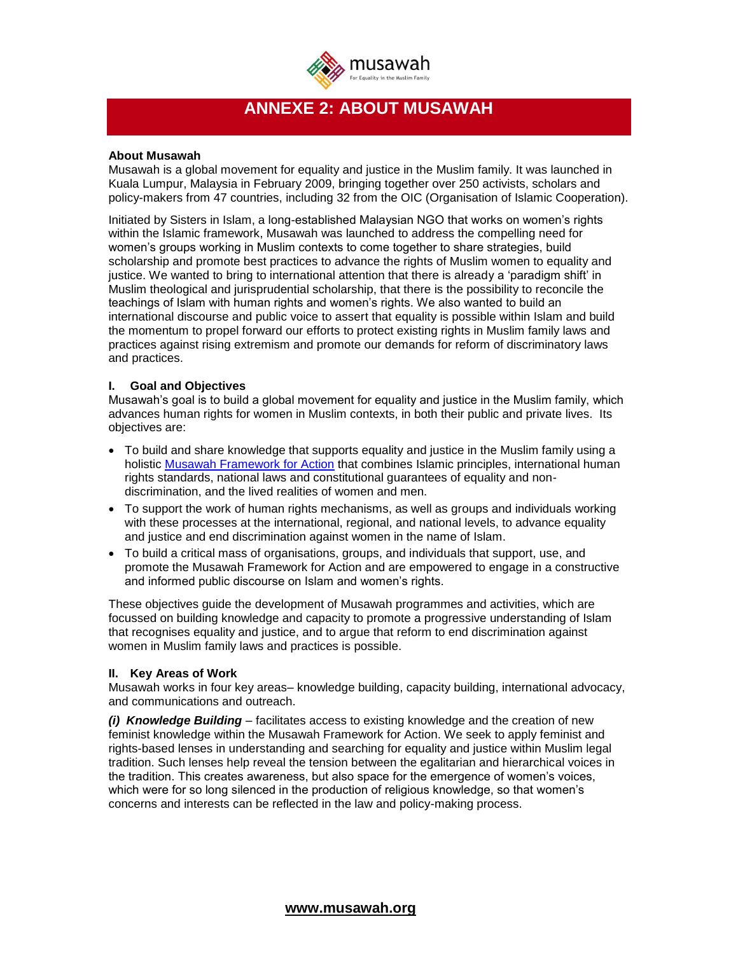

# **ANNEXE 2: ABOUT MUSAWAH**

### **About Musawah**

Musawah is a global movement for equality and justice in the Muslim family. It was launched in Kuala Lumpur, Malaysia in February 2009, bringing together over 250 activists, scholars and policy-makers from 47 countries, including 32 from the OIC (Organisation of Islamic Cooperation).

Initiated by Sisters in Islam, a long-established Malaysian NGO that works on women's rights within the Islamic framework, Musawah was launched to address the compelling need for women's groups working in Muslim contexts to come together to share strategies, build scholarship and promote best practices to advance the rights of Muslim women to equality and justice. We wanted to bring to international attention that there is already a 'paradigm shift' in Muslim theological and jurisprudential scholarship, that there is the possibility to reconcile the teachings of Islam with human rights and women's rights. We also wanted to build an international discourse and public voice to assert that equality is possible within Islam and build the momentum to propel forward our efforts to protect existing rights in Muslim family laws and practices against rising extremism and promote our demands for reform of discriminatory laws and practices.

## **I. Goal and Objectives**

Musawah's goal is to build a global movement for equality and justice in the Muslim family, which advances human rights for women in Muslim contexts, in both their public and private lives. Its objectives are:

- To build and share knowledge that supports equality and justice in the Muslim family using a holistic [Musawah Framework for Action](http://www.musawah.org/about-musawah/framework-action) that combines Islamic principles, international human rights standards, national laws and constitutional guarantees of equality and nondiscrimination, and the lived realities of women and men.
- To support the work of human rights mechanisms, as well as groups and individuals working with these processes at the international, regional, and national levels, to advance equality and justice and end discrimination against women in the name of Islam.
- To build a critical mass of organisations, groups, and individuals that support, use, and promote the Musawah Framework for Action and are empowered to engage in a constructive and informed public discourse on Islam and women's rights.

These objectives guide the development of Musawah programmes and activities, which are focussed on building knowledge and capacity to promote a progressive understanding of Islam that recognises equality and justice, and to argue that reform to end discrimination against women in Muslim family laws and practices is possible.

## **II. Key Areas of Work**

Musawah works in four key areas– knowledge building, capacity building, international advocacy, and communications and outreach.

*(i) Knowledge Building* – facilitates access to existing knowledge and the creation of new feminist knowledge within the Musawah Framework for Action. We seek to apply feminist and rights-based lenses in understanding and searching for equality and justice within Muslim legal tradition. Such lenses help reveal the tension between the egalitarian and hierarchical voices in the tradition. This creates awareness, but also space for the emergence of women's voices, which were for so long silenced in the production of religious knowledge, so that women's concerns and interests can be reflected in the law and policy-making process.

 **[www.musawah.org](http://www.musawah.org/)**